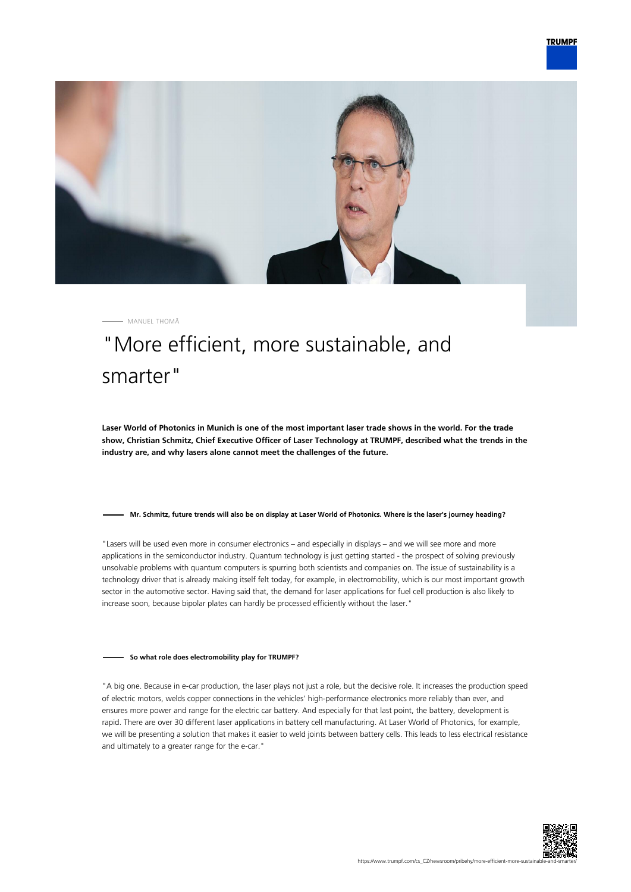



MANUEL THOMÄ

# "More efficient, more sustainable, and smarter"

**Laser World of Photonics in Munich is one of the most important laser trade shows in the world. For the trade show, Christian Schmitz, Chief Executive Officer of Laser Technology at TRUMPF, described what the trends in the industry are, and why lasers alone cannot meet the challenges of the future.**

### **Mr. Schmitz, future trends will also be on display at Laser World of Photonics. Where is the laser's journey heading?**

"Lasers will be used even more in consumer electronics – and especially in displays – and we will see more and more applications in the semiconductor industry. Quantum technology is just getting started - the prospect of solving previously unsolvable problems with quantum computers is spurring both scientists and companies on. The issue of sustainability is a technology driver that is already making itself felt today, for example, in electromobility, which is our most important growth sector in the automotive sector. Having said that, the demand for laser applications for fuel cell production is also likely to increase soon, because bipolar plates can hardly be processed efficiently without the laser."

### **So what role does electromobility play for TRUMPF?**

"A big one. Because in e-car production, the laser plays not just a role, but the decisive role. It increases the production speed of electric motors, welds copper connections in the vehicles' high-performance electronics more reliably than ever, and ensures more power and range for the electric car battery. And especially for that last point, the battery, development is rapid. There are over 30 different laser applications in battery cell manufacturing. At Laser World of Photonics, for example, we will be presenting a solution that makes it easier to weld joints between battery cells. This leads to less electrical resistance and ultimately to a greater range for the e-car."